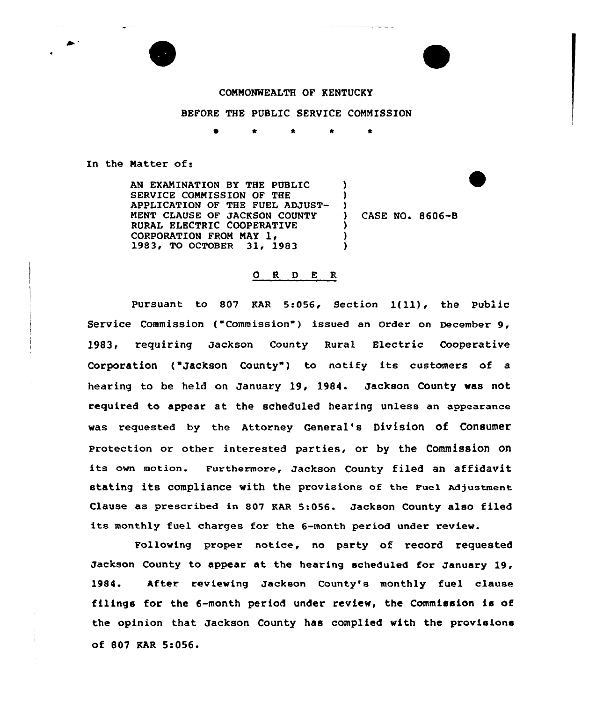

## COMMONWEALTH OF KENTUCKY

## BEFORE THE PUBLIC SERVICE CONNISSION

\* \* \*

) )  $\left\{ \right\}$ 

) ) )

In the Natter of:

 $-$ 

contractor and

AN EXAMINATION BY THE PUBLIC SERVICE CONNISSION OF THE APPLICATION OF THE FUEL ADJUST-MENT CLAUSE OF JACKSON COUNTY RURAL ELECTRIC COOPERATIVE<br>CORPORATION FROM MAY 1, 1983, TO OCTOBER 31, 1983

CASE NO. 8606-B

## 0 <sup>R</sup> <sup>D</sup> E <sup>R</sup>

Pursuant to <sup>807</sup> KAR 5:056, Section l(ll), the Public Service Commission ("Commission") issued an Order on December 9, 1983, requiring Jackson County Rural Electric Cooperative Corporation ("Jackson County") to notify its customers of a hearing to be held on January 19, 1984. Jackson County was not required to appear at the scheduled hearing unless an appearance was requested by the Attorney General's Division of Consumer Protection or other interested parties, ox by the Commission on its own motion. Furthermore, Jackson County filed an affidavit stating its compliance with the provisions of the Fuel Adjustment Clause as prescribed in 807 KAR 5:056. Jackson County also filed its monthly fuel charges for the 6-month period under review.

Following proper notice, no party of record requested Jackson County to appear at the heaxing scheduled for January 19, 1984. After xeviewing Jackson County's monthly fuel clause filings for the 6-month period under review, the Commission is of the opinion that Jackson County has complied with the provisions of 807 KAR 5:056'